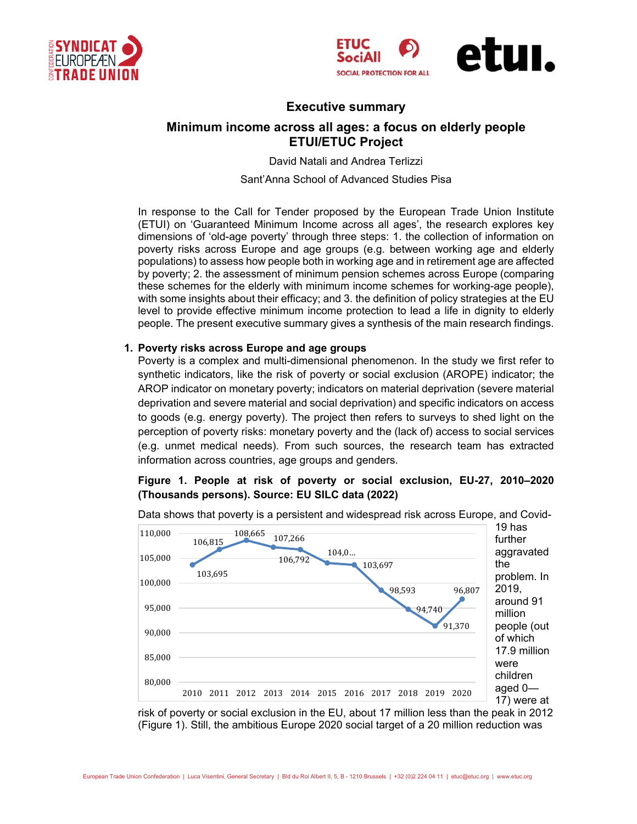





# **Executive summary**

# **Minimum income across all ages: a focus on elderly people ETUI/ETUC Project**

David Natali and Andrea Terlizzi

Sant'Anna School of Advanced Studies Pisa

In response to the Call for Tender proposed by the European Trade Union Institute (ETUI) on 'Guaranteed Minimum Income across all ages', the research explores key dimensions of 'old-age poverty' through three steps: 1. the collection of information on poverty risks across Europe and age groups (e.g. between working age and elderly populations) to assess how people both in working age and in retirement age are affected by poverty; 2. the assessment of minimum pension schemes across Europe (comparing these schemes for the elderly with minimum income schemes for working-age people), with some insights about their efficacy; and 3. the definition of policy strategies at the EU level to provide effective minimum income protection to lead a life in dignity to elderly people. The present executive summary gives a synthesis of the main research findings.

### **1. Poverty risks across Europe and age groups**

Poverty is a complex and multi-dimensional phenomenon. In the study we first refer to synthetic indicators, like the risk of poverty or social exclusion (AROPE) indicator; the AROP indicator on monetary poverty; indicators on material deprivation (severe material deprivation and severe material and social deprivation) and specific indicators on access to goods (e.g. energy poverty). The project then refers to surveys to shed light on the perception of poverty risks: monetary poverty and the (lack of) access to social services (e.g. unmet medical needs). From such sources, the research team has extracted information across countries, age groups and genders.

## **Figure 1. People at risk of poverty or social exclusion, EU-27, 2010–2020 (Thousands persons). Source: EU SILC data (2022)**



Data shows that poverty is a persistent and widespread risk across Europe, and Covid-

risk of poverty or social exclusion in the EU, about 17 million less than the peak in 2012 (Figure 1). Still, the ambitious Europe 2020 social target of a 20 million reduction was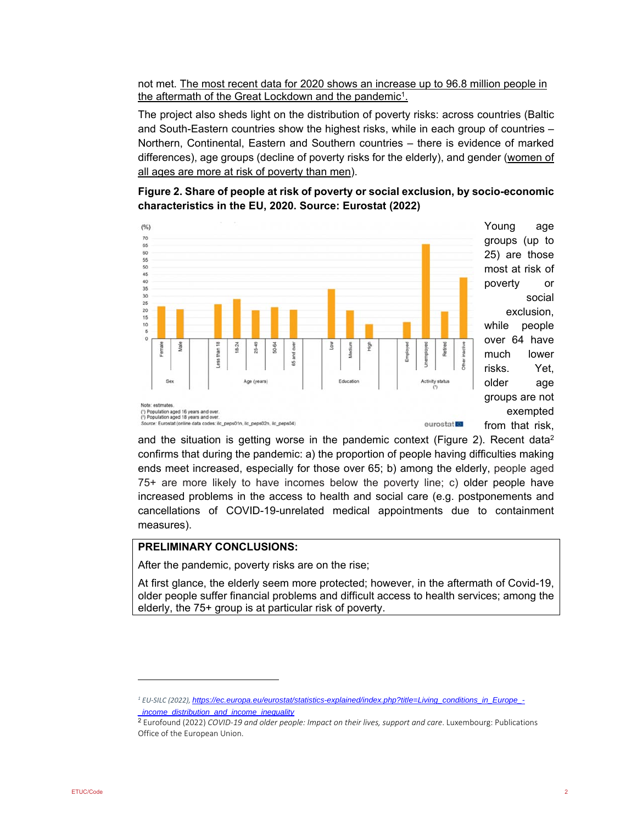not met. The most recent data for 2020 shows an increase up to 96.8 million people in the aftermath of the Great Lockdown and the pandemic<sup>1</sup>.

The project also sheds light on the distribution of poverty risks: across countries (Baltic and South-Eastern countries show the highest risks, while in each group of countries – Northern, Continental, Eastern and Southern countries – there is evidence of marked differences), age groups (decline of poverty risks for the elderly), and gender (women of all ages are more at risk of poverty than men).





and the situation is getting worse in the pandemic context (Figure 2). Recent data<sup>2</sup> confirms that during the pandemic: a) the proportion of people having difficulties making ends meet increased, especially for those over 65; b) among the elderly, people aged 75+ are more likely to have incomes below the poverty line; c) older people have increased problems in the access to health and social care (e.g. postponements and cancellations of COVID-19-unrelated medical appointments due to containment measures).

## **PRELIMINARY CONCLUSIONS:**

After the pandemic, poverty risks are on the rise;

At first glance, the elderly seem more protected; however, in the aftermath of Covid-19, older people suffer financial problems and difficult access to health services; among the elderly, the 75+ group is at particular risk of poverty.

*<sup>1</sup> EU‐SILC (2022), https://ec.europa.eu/eurostat/statistics-explained/index.php?title=Living\_conditions\_in\_Europe\_- \_income\_distribution\_and\_income\_inequality* 

<sup>2</sup> Eurofound (2022) *COVID‐19 and older people: Impact on their lives, support and care*. Luxembourg: Publications Office of the European Union.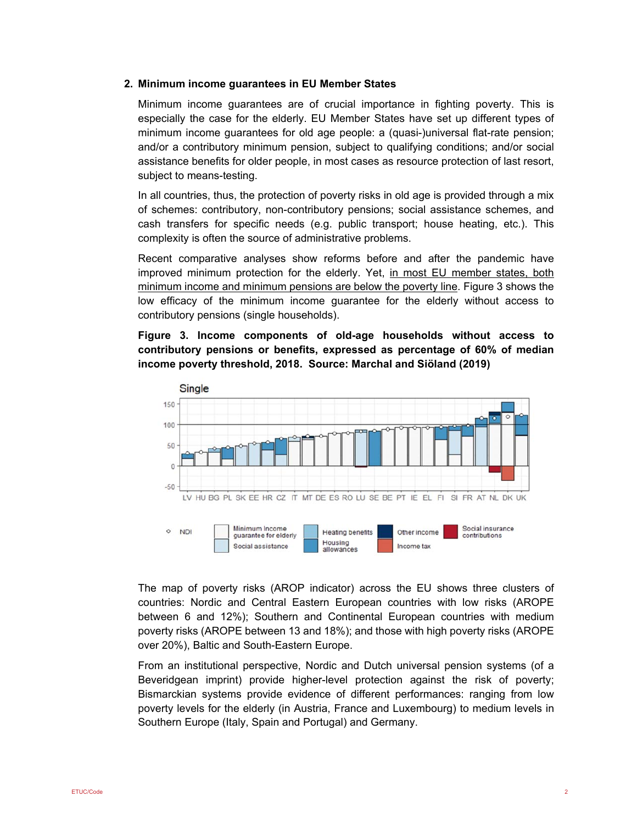#### **2. Minimum income guarantees in EU Member States**

Minimum income guarantees are of crucial importance in fighting poverty. This is especially the case for the elderly. EU Member States have set up different types of minimum income guarantees for old age people: a (quasi-)universal flat-rate pension; and/or a contributory minimum pension, subject to qualifying conditions; and/or social assistance benefits for older people, in most cases as resource protection of last resort, subject to means-testing.

In all countries, thus, the protection of poverty risks in old age is provided through a mix of schemes: contributory, non-contributory pensions; social assistance schemes, and cash transfers for specific needs (e.g. public transport; house heating, etc.). This complexity is often the source of administrative problems.

Recent comparative analyses show reforms before and after the pandemic have improved minimum protection for the elderly. Yet, in most EU member states, both minimum income and minimum pensions are below the poverty line. Figure 3 shows the low efficacy of the minimum income guarantee for the elderly without access to contributory pensions (single households).

**Figure 3. Income components of old-age households without access to contributory pensions or benefits, expressed as percentage of 60% of median income poverty threshold, 2018. Source: Marchal and Siöland (2019)** 



The map of poverty risks (AROP indicator) across the EU shows three clusters of countries: Nordic and Central Eastern European countries with low risks (AROPE between 6 and 12%); Southern and Continental European countries with medium poverty risks (AROPE between 13 and 18%); and those with high poverty risks (AROPE over 20%), Baltic and South-Eastern Europe.

From an institutional perspective, Nordic and Dutch universal pension systems (of a Beveridgean imprint) provide higher-level protection against the risk of poverty; Bismarckian systems provide evidence of different performances: ranging from low poverty levels for the elderly (in Austria, France and Luxembourg) to medium levels in Southern Europe (Italy, Spain and Portugal) and Germany.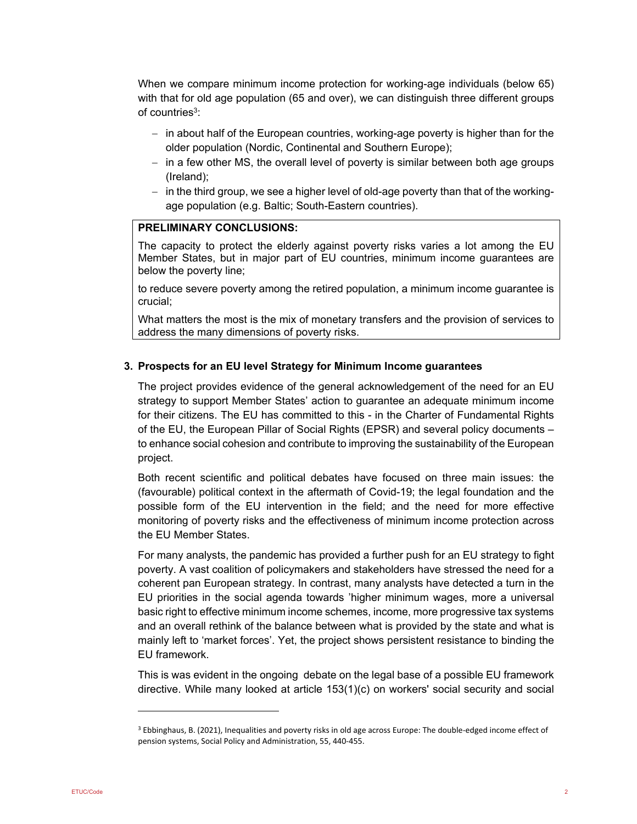When we compare minimum income protection for working-age individuals (below 65) with that for old age population (65 and over), we can distinguish three different groups of countries<sup>3</sup>:

- $\overline{\phantom{a}}$  in about half of the European countries, working-age poverty is higher than for the older population (Nordic, Continental and Southern Europe);
- $-$  in a few other MS, the overall level of poverty is similar between both age groups (Ireland);
- $-$  in the third group, we see a higher level of old-age poverty than that of the workingage population (e.g. Baltic; South-Eastern countries).

### **PRELIMINARY CONCLUSIONS:**

The capacity to protect the elderly against poverty risks varies a lot among the EU Member States, but in major part of EU countries, minimum income guarantees are below the poverty line;

to reduce severe poverty among the retired population, a minimum income guarantee is crucial;

What matters the most is the mix of monetary transfers and the provision of services to address the many dimensions of poverty risks.

#### **3. Prospects for an EU level Strategy for Minimum Income guarantees**

The project provides evidence of the general acknowledgement of the need for an EU strategy to support Member States' action to guarantee an adequate minimum income for their citizens. The EU has committed to this - in the Charter of Fundamental Rights of the EU, the European Pillar of Social Rights (EPSR) and several policy documents – to enhance social cohesion and contribute to improving the sustainability of the European project.

Both recent scientific and political debates have focused on three main issues: the (favourable) political context in the aftermath of Covid-19; the legal foundation and the possible form of the EU intervention in the field; and the need for more effective monitoring of poverty risks and the effectiveness of minimum income protection across the EU Member States.

For many analysts, the pandemic has provided a further push for an EU strategy to fight poverty. A vast coalition of policymakers and stakeholders have stressed the need for a coherent pan European strategy. In contrast, many analysts have detected a turn in the EU priorities in the social agenda towards 'higher minimum wages, more a universal basic right to effective minimum income schemes, income, more progressive tax systems and an overall rethink of the balance between what is provided by the state and what is mainly left to 'market forces'. Yet, the project shows persistent resistance to binding the EU framework.

This is was evident in the ongoing debate on the legal base of a possible EU framework directive. While many looked at article 153(1)(c) on workers' social security and social

<sup>&</sup>lt;sup>3</sup> Ebbinghaus, B. (2021), Inequalities and poverty risks in old age across Europe: The double-edged income effect of pension systems, Social Policy and Administration, 55, 440‐455.